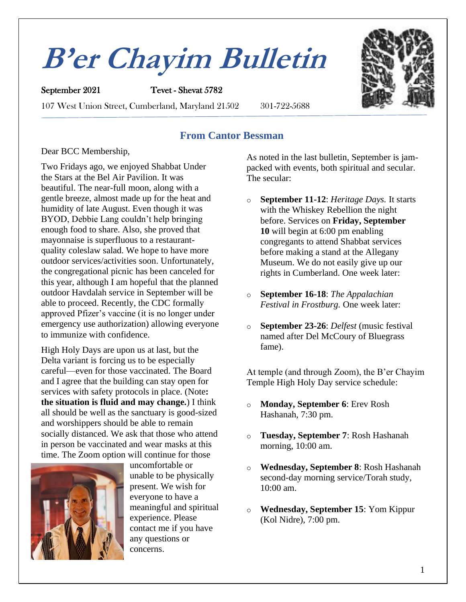# **B'er Chayim Bulletin**

September 2021 Tevet - Shevat 5782 107 West Union Street, Cumberland, Maryland 21502 301-722-5688



### **From Cantor Bessman**

#### Dear BCC Membership,

Two Fridays ago, we enjoyed Shabbat Under the Stars at the Bel Air Pavilion. It was beautiful. The near-full moon, along with a gentle breeze, almost made up for the heat and humidity of late August. Even though it was BYOD, Debbie Lang couldn't help bringing enough food to share. Also, she proved that mayonnaise is superfluous to a restaurantquality coleslaw salad. We hope to have more outdoor services/activities soon. Unfortunately, the congregational picnic has been canceled for this year, although I am hopeful that the planned outdoor Havdalah service in September will be able to proceed. Recently, the CDC formally approved Pfizer's vaccine (it is no longer under emergency use authorization) allowing everyone to immunize with confidence.

High Holy Days are upon us at last, but the Delta variant is forcing us to be especially careful—even for those vaccinated. The Board and I agree that the building can stay open for services with safety protocols in place. (Note**: the situation is fluid and may change.**) I think all should be well as the sanctuary is good-sized and worshippers should be able to remain socially distanced. We ask that those who attend in person be vaccinated and wear masks at this time. The Zoom option will continue for those



uncomfortable or unable to be physically present. We wish for everyone to have a meaningful and spiritual experience. Please contact me if you have any questions or concerns.

As noted in the last bulletin, September is jampacked with events, both spiritual and secular. The secular:

- o **September 11-12**: *Heritage Days.* It starts with the Whiskey Rebellion the night before. Services on **Friday, September 10** will begin at 6:00 pm enabling congregants to attend Shabbat services before making a stand at the Allegany Museum. We do not easily give up our rights in Cumberland. One week later:
- o **September 16-18**: *The Appalachian Festival in Frostburg.* One week later:
- o **September 23-26**: *Delfest* (music festival named after Del McCoury of Bluegrass fame).

At temple (and through Zoom), the B'er Chayim Temple High Holy Day service schedule:

- o **Monday, September 6**: Erev Rosh Hashanah, 7:30 pm.
- o **Tuesday, September 7**: Rosh Hashanah morning, 10:00 am.
- o **Wednesday, September 8**: Rosh Hashanah second-day morning service/Torah study, 10:00 am.
- o **Wednesday, September 15**: Yom Kippur (Kol Nidre), 7:00 pm.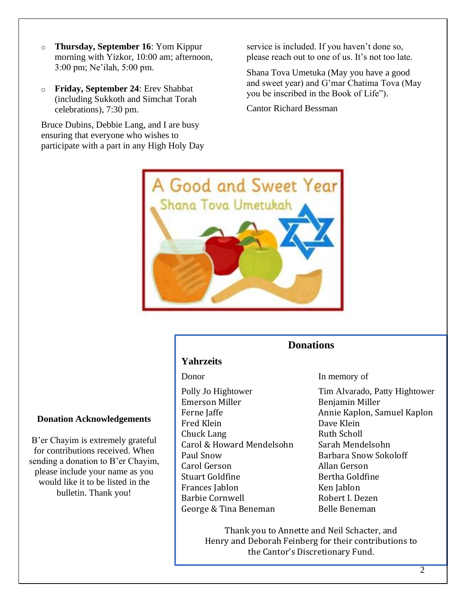- o **Thursday, September 16**: Yom Kippur morning with Yizkor, 10:00 am; afternoon, 3:00 pm; Ne'ilah, 5:00 pm.
- o **Friday, September 24**: Erev Shabbat (including Sukkoth and Simchat Torah celebrations), 7:30 pm.

Bruce Dubins, Debbie Lang, and I are busy ensuring that everyone who wishes to participate with a part in any High Holy Day service is included. If you haven't done so, please reach out to one of us. It's not too late.

Shana Tova Umetuka (May you have a good and sweet year) and G'mar Chatima Tova (May you be inscribed in the Book of Life").

Cantor Richard Bessman



#### **Donations**

#### **Yahrzeits**

Emerson Miller **Benjamin Miller** Fred Klein **Dave Klein** Chuck Lang Ruth Scholl Carol & Howard Mendelsohn Sarah Mendelsohn Paul Snow Barbara Snow Sokoloff Carol Gerson Allan Gerson Stuart Goldfine Bertha Goldfine Frances Jablon Ken Jablon Barbie Cornwell **Robert I. Dezen** George & Tina Beneman Belle Beneman

Donor In memory of

Polly Jo Hightower Tim Alvarado, Patty Hightower Ferne Jaffe **Annie Kaplon**, Samuel Kaplon

Thank you to Annette and Neil Schacter, and Henry and Deborah Feinberg for their contributions to the Cantor's Discretionary Fund.

#### **Donation Acknowledgements**

B'er Chayim is extremely grateful for contributions received. When sending a donation to B'er Chayim, please include your name as you would like it to be listed in the bulletin. Thank you!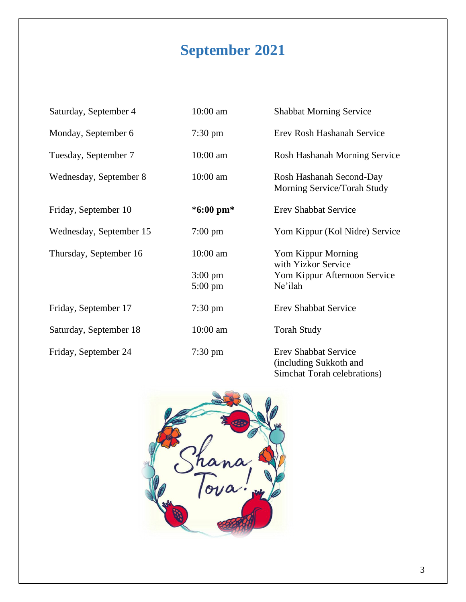## **September 2021**

| Saturday, September 4   | 10:00 am                               | <b>Shabbat Morning Service</b>                                                       |
|-------------------------|----------------------------------------|--------------------------------------------------------------------------------------|
| Monday, September 6     | $7:30 \text{ pm}$                      | Erev Rosh Hashanah Service                                                           |
| Tuesday, September 7    | 10:00 am                               | Rosh Hashanah Morning Service                                                        |
| Wednesday, September 8  | 10:00 am                               | Rosh Hashanah Second-Day<br>Morning Service/Torah Study                              |
| Friday, September 10    | *6:00 pm*                              | <b>Erev Shabbat Service</b>                                                          |
| Wednesday, September 15 | $7:00 \text{ pm}$                      | Yom Kippur (Kol Nidre) Service                                                       |
| Thursday, September 16  | 10:00 am                               | Yom Kippur Morning<br>with Yizkor Service                                            |
|                         | $3:00 \text{ pm}$<br>$5:00 \text{ pm}$ | Yom Kippur Afternoon Service<br>Ne'ilah                                              |
| Friday, September 17    | $7:30 \text{ pm}$                      | <b>Erev Shabbat Service</b>                                                          |
| Saturday, September 18  | 10:00 am                               | <b>Torah Study</b>                                                                   |
| Friday, September 24    | $7:30 \text{ pm}$                      | <b>Erev Shabbat Service</b><br>(including Sukkoth and<br>Simchat Torah celebrations) |

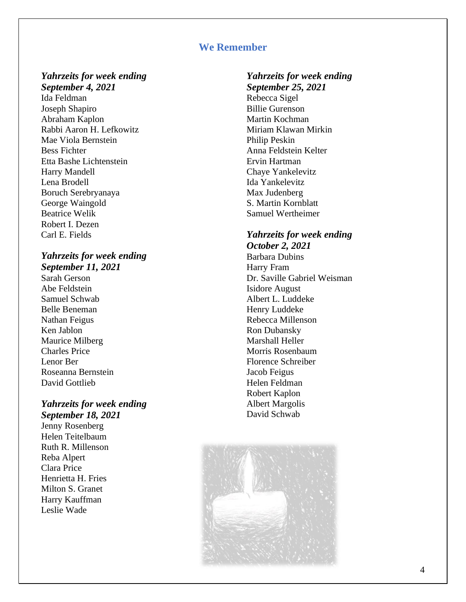#### **We Remember**

#### *Yahrzeits for week ending September 4, 2021*

Ida Feldman Joseph Shapiro Abraham Kaplon Rabbi Aaron H. Lefkowitz Mae Viola Bernstein Bess Fichter Etta Bashe Lichtenstein Harry Mandell Lena Brodell Boruch Serebryanaya George Waingold Beatrice Welik Robert I. Dezen Carl E. Fields

#### *Yahrzeits for week ending September 11, 2021*

Sarah Gerson Abe Feldstein Samuel Schwab Belle Beneman Nathan Feigus Ken Jablon Maurice Milberg Charles Price Lenor Ber Roseanna Bernstein David Gottlieb

#### *Yahrzeits for week ending September 18, 2021*

Jenny Rosenberg Helen Teitelbaum Ruth R. Millenson Reba Alpert Clara Price Henrietta H. Fries Milton S. Granet Harry Kauffman Leslie Wade

#### *Yahrzeits for week ending September 25, 2021* Rebecca Sigel Billie Gurenson Martin Kochman Miriam Klawan Mirkin Philip Peskin Anna Feldstein Kelter Ervin Hartman Chaye Yankelevitz Ida Yankelevitz Max Judenberg S. Martin Kornblatt Samuel Wertheimer

#### *Yahrzeits for week ending October 2, 2021*

Barbara Dubins Harry Fram Dr. Saville Gabriel Weisman Isidore August Albert L. Luddeke Henry Luddeke Rebecca Millenson Ron Dubansky Marshall Heller Morris Rosenbaum Florence Schreiber Jacob Feigus Helen Feldman Robert Kaplon Albert Margolis David Schwab